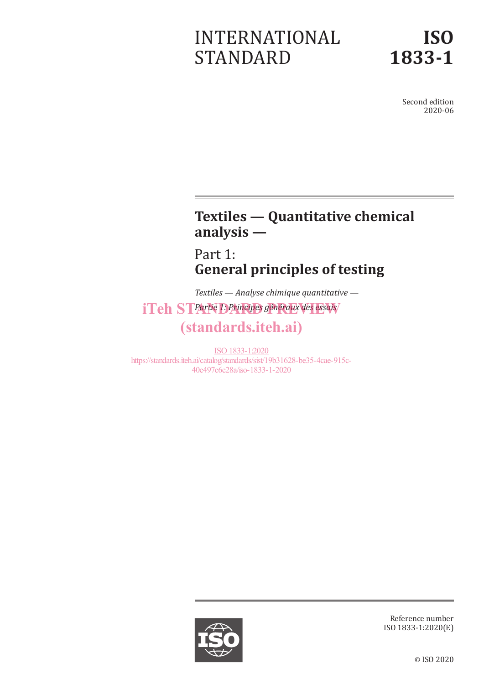# INTERNATIONAL STANDARD



Second edition 2020-06

# **Textiles — Quantitative chemical analysis —**

Part 1: **General principles of testing**

*Textiles — Analyse chimique quantitative iTeh STPartie 1: Principes généraux des essais* (standards.iteh.ai)

ISO 1833-1:2020 https://standards.iteh.ai/catalog/standards/sist/19b31628-be35-4cae-915c-40e497c6e28a/iso-1833-1-2020



Reference number ISO 1833-1:2020(E)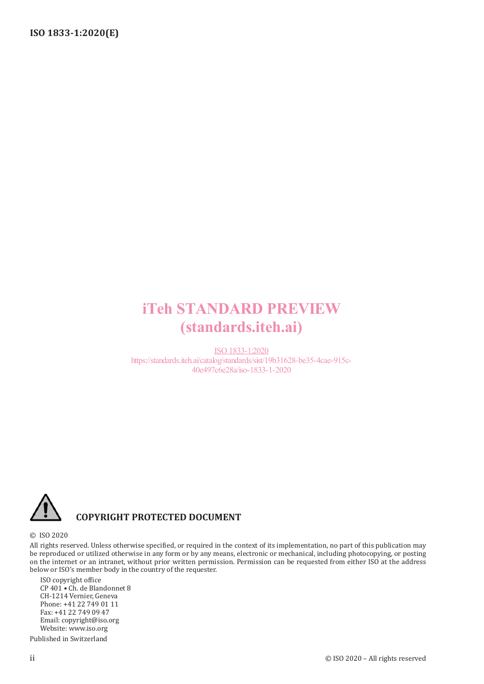# iTeh STANDARD PREVIEW (standards.iteh.ai)

ISO 1833-1:2020 https://standards.iteh.ai/catalog/standards/sist/19b31628-be35-4cae-915c-40e497c6e28a/iso-1833-1-2020



### **COPYRIGHT PROTECTED DOCUMENT**

#### © ISO 2020

All rights reserved. Unless otherwise specified, or required in the context of its implementation, no part of this publication may be reproduced or utilized otherwise in any form or by any means, electronic or mechanical, including photocopying, or posting on the internet or an intranet, without prior written permission. Permission can be requested from either ISO at the address below or ISO's member body in the country of the requester.

ISO copyright office CP 401 • Ch. de Blandonnet 8 CH-1214 Vernier, Geneva Phone: +41 22 749 01 11 Fax: +41 22 749 09 47 Email: copyright@iso.org Website: www.iso.org

Published in Switzerland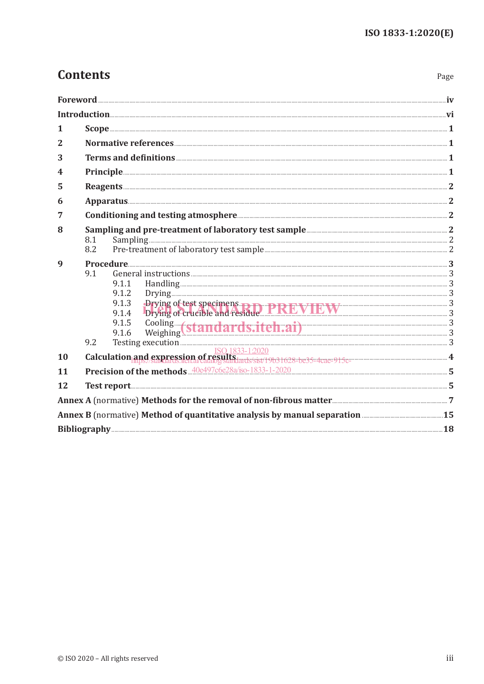Page

## **Contents**

| 1            |            |                                                                            |  |  |
|--------------|------------|----------------------------------------------------------------------------|--|--|
| 2            |            |                                                                            |  |  |
| 3            |            |                                                                            |  |  |
| 4            |            |                                                                            |  |  |
| 5            |            |                                                                            |  |  |
| 6            |            |                                                                            |  |  |
| 7            |            |                                                                            |  |  |
| 8            | 8.1<br>8.2 | Sampling <u>Sampling</u> 2                                                 |  |  |
| $\mathbf{q}$ |            |                                                                            |  |  |
|              | 9.1        | 9.1.1<br>9.1.2                                                             |  |  |
|              |            | 9.1.3<br>- Drying of test specimens BLD PREVIEW 33<br>9.1.4                |  |  |
|              |            | 9.1.5<br>Cooling (standards.itch.ai) Weighing (standards.itch.ai)<br>9.1.6 |  |  |
|              | 9.2        |                                                                            |  |  |
| 10           |            | ESO 1833-12020<br>Calculation and expression of results                    |  |  |
| 11           |            | Precision of the methods 40e497c6e28a/so-1833-1-2020                       |  |  |
| 12           |            |                                                                            |  |  |
|              |            |                                                                            |  |  |
|              |            |                                                                            |  |  |
|              |            |                                                                            |  |  |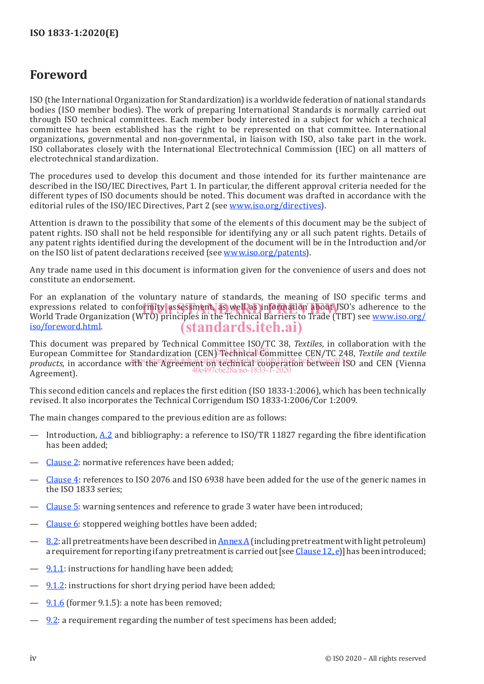### **Foreword**

ISO (the International Organization for Standardization) is a worldwide federation of national standards bodies (ISO member bodies). The work of preparing International Standards is normally carried out through ISO technical committees. Each member body interested in a subject for which a technical committee has been established has the right to be represented on that committee. International organizations, governmental and non-governmental, in liaison with ISO, also take part in the work. ISO collaborates closely with the International Electrotechnical Commission (IEC) on all matters of electrotechnical standardization.

The procedures used to develop this document and those intended for its further maintenance are described in the ISO/IEC Directives, Part 1. In particular, the different approval criteria needed for the different types of ISO documents should be noted. This document was drafted in accordance with the editorial rules of the ISO/IEC Directives, Part 2 (see www.iso.org/directives).

Attention is drawn to the possibility that some of the elements of this document may be the subject of patent rights. ISO shall not be held responsible for identifying any or all such patent rights. Details of any patent rights identified during the development of the document will be in the Introduction and/or on the ISO list of patent declarations received (see www.iso.org/patents).

Any trade name used in this document is information given for the convenience of users and does not constitute an endorsement.

For an explanation of the voluntary nature of standards, the meaning of ISO specific terms and expressions related to conformity assessment, as well as information about ISO's adherence to the<br>World Trade Organization (WTO) principles in the Technical Barriers to Trade (TBT) see www.iso.org/ World Trade Organization (WTO) principles in the Technical Barriers to Trade (TBT) see www.iso.org/ iso/foreword.html. (standards.iteh.ai)

This document was prepared by Technical Committee ISO/TC 38, *Textiles*, in collaboration with the European Committee for Standardization (CEN) Technical Committee CEN/TC 248, *Textile and textile*<br>European Committee for Standardization (CEN) Technical Committee CEN/TC 248, *Textile and textile* products, in accordance with the Agreement on technical cooperation between ISO and CEN (Vienna Agreement). 40e497c6e28a/iso-1833-1-2020

This second edition cancels and replaces the first edition (ISO 1833-1:2006), which has been technically revised. It also incorporates the Technical Corrigendum ISO 1833-1:2006/Cor 1:2009.

The main changes compared to the previous edition are as follows:

- Introduction, A.2 and bibliography: a reference to ISO/TR 11827 regarding the fibre identification has been added;
- Clause 2: normative references have been added;
- Clause 4: references to ISO 2076 and ISO 6938 have been added for the use of the generic names in the ISO 1833 series;
- Clause 5: warning sentences and reference to grade 3 water have been introduced;
- Clause 6: stoppered weighing bottles have been added;
- $-$  8.2: all pretreatments have been described in Annex A (including pretreatment with light petroleum) a requirement for reporting if any pretreatment is carried out [see Clause 12, e)] has been introduced;
- 9.1.1: instructions for handling have been added;
- 9.1.2: instructions for short drying period have been added;
- 9.1.6 (former 9.1.5): a note has been removed;
- $-9.2$ : a requirement regarding the number of test specimens has been added;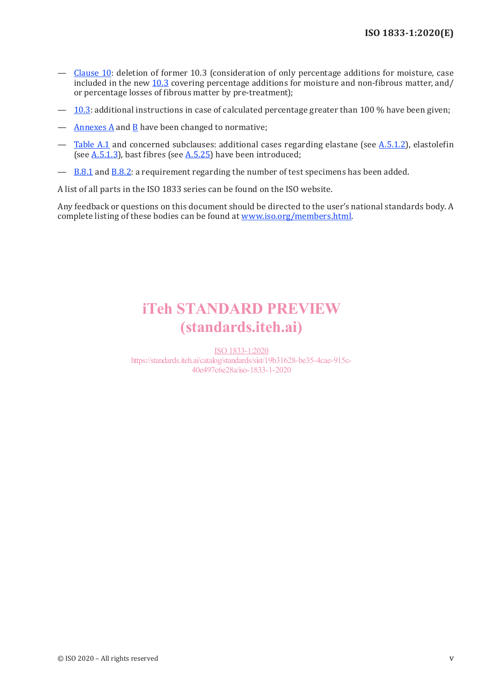- Clause 10: deletion of former 10.3 (consideration of only percentage additions for moisture, case included in the new 10.3 covering percentage additions for moisture and non-fibrous matter, and/ or percentage losses of fibrous matter by pre-treatment);
- $-$  10.3: additional instructions in case of calculated percentage greater than 100 % have been given;
- $\frac{1}{2}$  Annexes A and B have been changed to normative;
- Table A.1 and concerned subclauses: additional cases regarding elastane (see A.5.1.2), elastolefin (see  $A.5.1.3$ ), bast fibres (see  $A.5.25$ ) have been introduced;
- $\frac{\text{B.8.1}}{\text{B.8.1}}$  and  $\frac{\text{B.8.2}}{\text{B.8.2}}$ : a requirement regarding the number of test specimens has been added.

A list of all parts in the ISO 1833 series can be found on the ISO website.

Any feedback or questions on this document should be directed to the user's national standards body. A complete listing of these bodies can be found at www.iso.org/members.html.

# iTeh STANDARD PREVIEW (standards.iteh.ai)

ISO 1833-1:2020 https://standards.iteh.ai/catalog/standards/sist/19b31628-be35-4cae-915c-40e497c6e28a/iso-1833-1-2020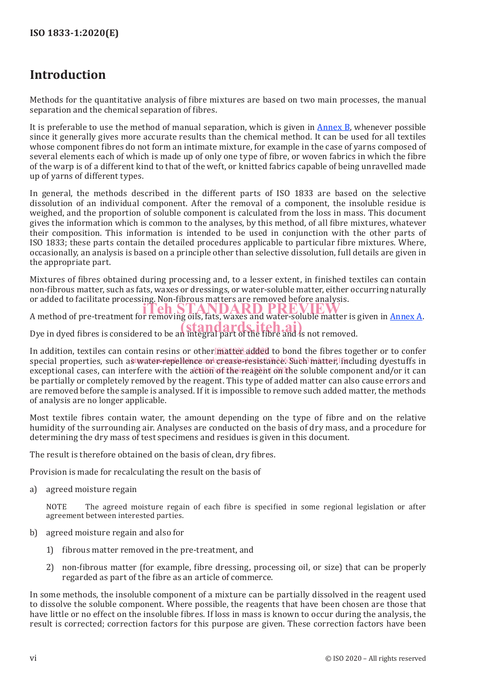### **Introduction**

Methods for the quantitative analysis of fibre mixtures are based on two main processes, the manual separation and the chemical separation of fibres.

It is preferable to use the method of manual separation, which is given in Annex B, whenever possible since it generally gives more accurate results than the chemical method. It can be used for all textiles whose component fibres do not form an intimate mixture, for example in the case of yarns composed of several elements each of which is made up of only one type of fibre, or woven fabrics in which the fibre of the warp is of a different kind to that of the weft, or knitted fabrics capable of being unravelled made up of yarns of different types.

In general, the methods described in the different parts of ISO 1833 are based on the selective dissolution of an individual component. After the removal of a component, the insoluble residue is weighed, and the proportion of soluble component is calculated from the loss in mass. This document gives the information which is common to the analyses, by this method, of all fibre mixtures, whatever their composition. This information is intended to be used in conjunction with the other parts of ISO 1833; these parts contain the detailed procedures applicable to particular fibre mixtures. Where, occasionally, an analysis is based on a principle other than selective dissolution, full details are given in the appropriate part.

Mixtures of fibres obtained during processing and, to a lesser extent, in finished textiles can contain non-fibrous matter, such as fats, waxes or dressings, or water-soluble matter, either occurring naturally or added to facilitate processing. Non-fibrous matters are removed before analysis.

A method of pre-treatment for removing oils, fats, waxes and water-soluble matter is given in <u>Annex A</u>. Dye in dyed fibres is considered to be an integral part of the fibre and is not removed.

In addition, textiles can contain resins or other matter added to bond the fibres together or to confer special properties, such as twater-repellence or crease-resistance. Such matter, including dyestuffs in exceptional cases, can interfere with the action of the reagent on the soluble component and/or it can be partially or completely removed by the reagent. This type of added matter can also cause errors and are removed before the sample is analysed. If it is impossible to remove such added matter, the methods of analysis are no longer applicable.

Most textile fibres contain water, the amount depending on the type of fibre and on the relative humidity of the surrounding air. Analyses are conducted on the basis of dry mass, and a procedure for determining the dry mass of test specimens and residues is given in this document.

The result is therefore obtained on the basis of clean, dry fibres.

Provision is made for recalculating the result on the basis of

a) agreed moisture regain

NOTE The agreed moisture regain of each fibre is specified in some regional legislation or after agreement between interested parties.

- b) agreed moisture regain and also for
	- 1) fibrous matter removed in the pre-treatment, and
	- 2) non-fibrous matter (for example, fibre dressing, processing oil, or size) that can be properly regarded as part of the fibre as an article of commerce.

In some methods, the insoluble component of a mixture can be partially dissolved in the reagent used to dissolve the soluble component. Where possible, the reagents that have been chosen are those that have little or no effect on the insoluble fibres. If loss in mass is known to occur during the analysis, the result is corrected; correction factors for this purpose are given. These correction factors have been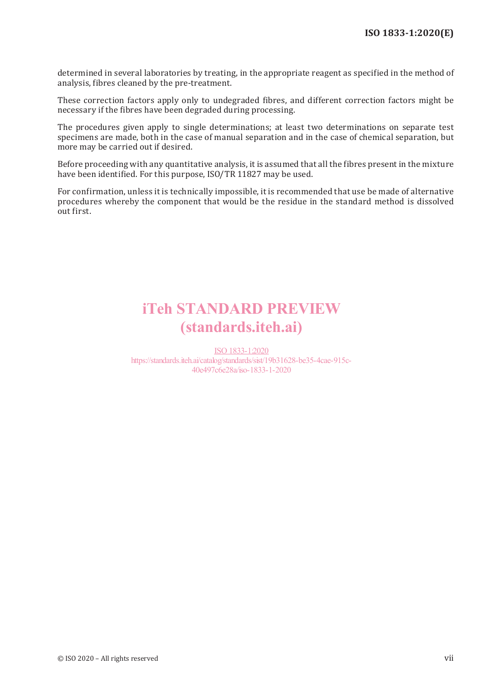determined in several laboratories by treating, in the appropriate reagent as specified in the method of analysis, fibres cleaned by the pre-treatment.

These correction factors apply only to undegraded fibres, and different correction factors might be necessary if the fibres have been degraded during processing.

The procedures given apply to single determinations; at least two determinations on separate test specimens are made, both in the case of manual separation and in the case of chemical separation, but more may be carried out if desired.

Before proceeding with any quantitative analysis, it is assumed that all the fibres present in the mixture have been identified. For this purpose, ISO/TR 11827 may be used.

For confirmation, unless it is technically impossible, it is recommended that use be made of alternative procedures whereby the component that would be the residue in the standard method is dissolved out first.

# iTeh STANDARD PREVIEW (standards.iteh.ai)

ISO 1833-1:2020 https://standards.iteh.ai/catalog/standards/sist/19b31628-be35-4cae-915c-40e497c6e28a/iso-1833-1-2020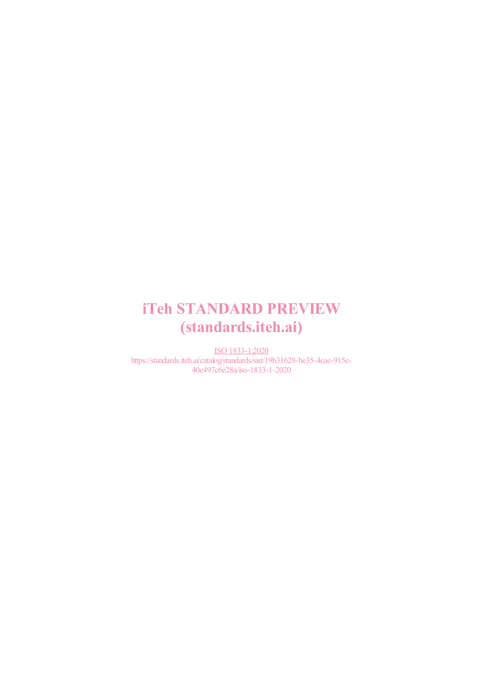# iTeh STANDARD PREVIEW (standards.iteh.ai)

ISO 1833-1:2020 https://standards.iteh.ai/catalog/standards/sist/19b31628-be35-4cae-915c-40e497c6e28a/iso-1833-1-2020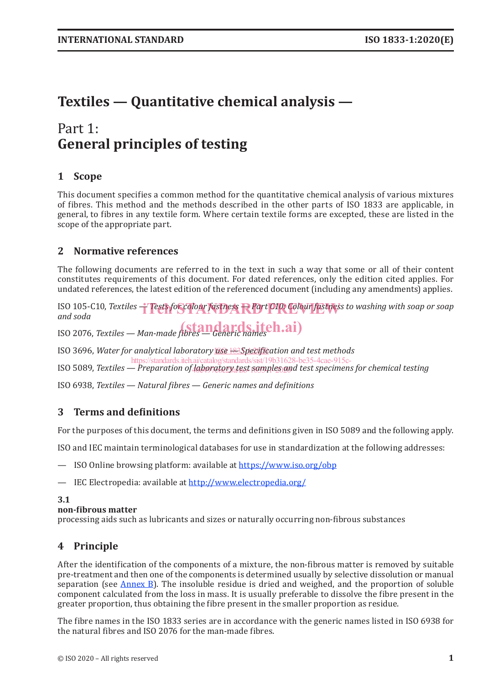## **Textiles — Quantitative chemical analysis —**

### Part 1: **General principles of testing**

#### **1 Scope**

This document specifies a common method for the quantitative chemical analysis of various mixtures of fibres. This method and the methods described in the other parts of ISO 1833 are applicable, in general, to fibres in any textile form. Where certain textile forms are excepted, these are listed in the scope of the appropriate part.

#### **2 Normative references**

The following documents are referred to in the text in such a way that some or all of their content constitutes requirements of this document. For dated references, only the edition cited applies. For undated references, the latest edition of the referenced document (including any amendments) applies.

ISO 105-C10, *Textiles* — Tests for colour fastness — Part C10: Colour fastness to washing with soap or soap<br>and soda *and soda*

ISO 2076, *Textiles — Man-made fibres — Generic names* (standards.iteh.ai)

ISO 3696, *Water for analytical laboratory use — Specification and test methods* ISO 1833-1:2020 https://standards.iteh.ai/catalog/standards/sist/19b31628-be35-4cae-915c-

ISO 5089, *Textiles — Preparation of laboratory test samples and test specimens for chemical testing* 40e497c6e28a/iso-1833-1-2020

ISO 6938, *Textiles — Natural fibres — Generic names and definitions*

#### **3 Terms and definitions**

For the purposes of this document, the terms and definitions given in ISO 5089 and the following apply.

ISO and IEC maintain terminological databases for use in standardization at the following addresses:

- ISO Online browsing platform: available at https://www.iso.org/obp
- IEC Electropedia: available at http://www.electropedia.org/

#### **3.1**

#### **non-fibrous matter**

processing aids such as lubricants and sizes or naturally occurring non-fibrous substances

#### **4 Principle**

After the identification of the components of a mixture, the non-fibrous matter is removed by suitable pre-treatment and then one of the components is determined usually by selective dissolution or manual separation (see  $\Delta$ nnex B). The insoluble residue is dried and weighed, and the proportion of soluble component calculated from the loss in mass. It is usually preferable to dissolve the fibre present in the greater proportion, thus obtaining the fibre present in the smaller proportion as residue.

The fibre names in the ISO 1833 series are in accordance with the generic names listed in ISO 6938 for the natural fibres and ISO 2076 for the man-made fibres.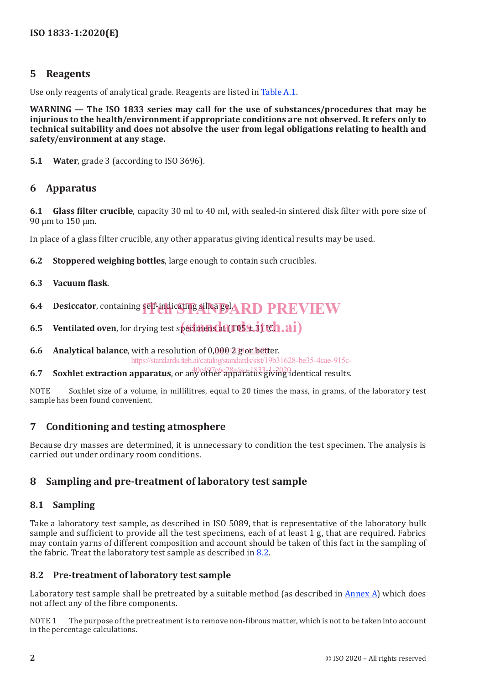#### **5 Reagents**

Use only reagents of analytical grade. Reagents are listed in Table A.1.

**WARNING — The ISO 1833 series may call for the use of substances/procedures that may be injurious to the health/environment if appropriate conditions are not observed. It refers only to technical suitability and does not absolve the user from legal obligations relating to health and safety/environment at any stage.**

**5.1 Water**, grade 3 (according to ISO 3696).

#### **6 Apparatus**

**6.1 Glass filter crucible**, capacity 30 ml to 40 ml, with sealed-in sintered disk filter with pore size of 90 µm to 150 µm.

In place of a glass filter crucible, any other apparatus giving identical results may be used.

- **6.2 Stoppered weighing bottles**, large enough to contain such crucibles.
- **6.3 Vacuum flask**.
- **6.4** Desiccator, containing self-indicating silica gelARD PREVIEW
- **6.5** Ventilated oven, for drying test specimens at (TOS + 3) Ch.ai)
- **6.6 Analytical balance**, with a resolution of 0,00012 g or better.

https://standards.iteh.ai/catalog/standards/sist/19b31628-be35-4cae-915c-

### **6.7 Soxhlet extraction apparatus**, or any other apparatus giving identical results.

NOTE Soxhlet size of a volume, in millilitres, equal to 20 times the mass, in grams, of the laboratory test sample has been found convenient.

#### **7 Conditioning and testing atmosphere**

Because dry masses are determined, it is unnecessary to condition the test specimen. The analysis is carried out under ordinary room conditions.

#### **8 Sampling and pre-treatment of laboratory test sample**

#### **8.1 Sampling**

Take a laboratory test sample, as described in ISO 5089, that is representative of the laboratory bulk sample and sufficient to provide all the test specimens, each of at least 1 g, that are required. Fabrics may contain yarns of different composition and account should be taken of this fact in the sampling of the fabric. Treat the laboratory test sample as described in  $8.2$ .

#### **8.2 Pre-treatment of laboratory test sample**

Laboratory test sample shall be pretreated by a suitable method (as described in Annex A) which does not affect any of the fibre components.

NOTE 1 The purpose of the pretreatment is to remove non-fibrous matter, which is not to be taken into account in the percentage calculations.